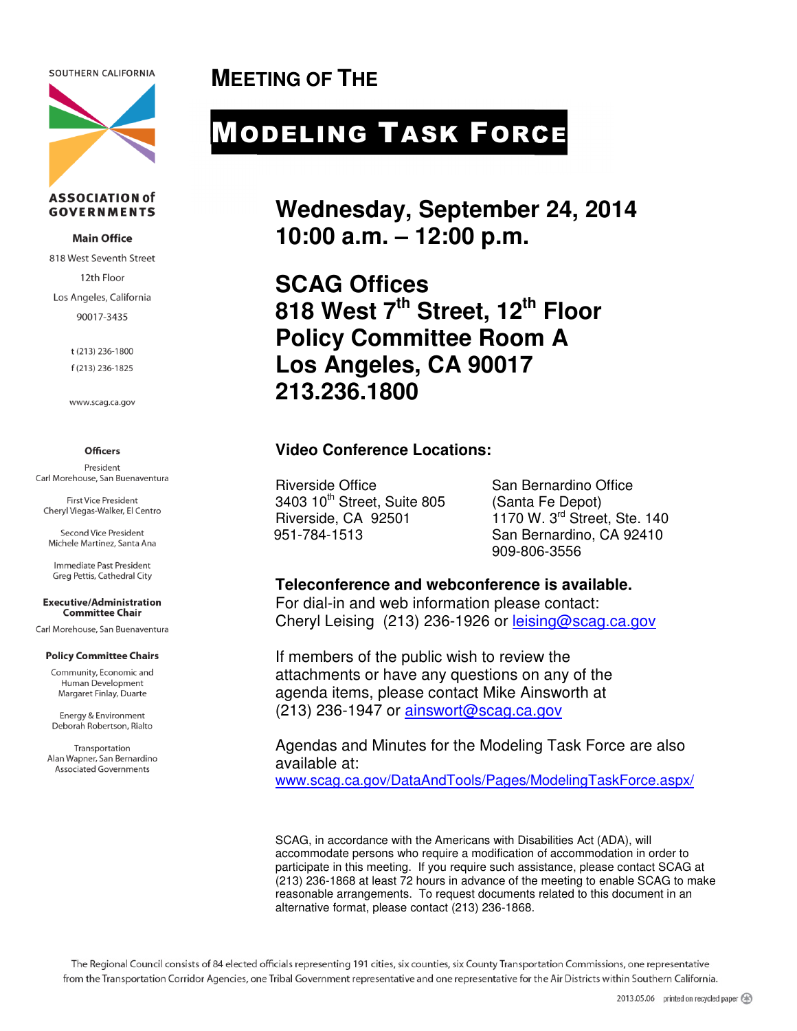SOUTHERN CALIFORNIA



#### **ASSOCIATION of GOVERNMENTS**

#### **Main Office**

818 West Seventh Street 12th Floor Los Angeles, California 90017-3435

> t (213) 236-1800 f (213) 236-1825

www.scag.ca.gov

#### **Officers**

President Carl Morehouse, San Buenaventura

**First Vice President** Cheryl Viegas-Walker, El Centro

Second Vice President Michele Martinez, Santa Ana

Immediate Past President Greg Pettis, Cathedral City

#### **Executive/Administration Committee Chair**

Carl Morehouse, San Buenaventura

#### **Policy Committee Chairs**

Community, Economic and Human Development Margaret Finlay, Duarte

Energy & Environment Deborah Robertson, Rialto

Transportation Alan Wapner, San Bernardino **Associated Governments** 

**MEETING OF THE** 

# MODELING TASK FORCE

**Wednesday, September 24, 2014 10:00 a.m. – 12:00 p.m.** 

**SCAG Offices 818 West 7th Street, 12th Floor Policy Committee Room A Los Angeles, CA 90017 213.236.1800** 

### **Video Conference Locations:**

Riverside Office San Bernardino Office 3403 10<sup>th</sup> Street, Suite 805 (Santa Fe Depot)<br>Riverside, CA 92501 1170 W, 3<sup>rd</sup> Stree

 $1170$  W. 3<sup>rd</sup> Street, Ste. 140 951-784-1513 San Bernardino, CA 92410 909-806-3556

#### **Teleconference and webconference is available.**

For dial-in and web information please contact: Cheryl Leising (213) 236-1926 or leising@scag.ca.gov

If members of the public wish to review the attachments or have any questions on any of the agenda items, please contact Mike Ainsworth at (213) 236-1947 or ainswort@scag.ca.gov

Agendas and Minutes for the Modeling Task Force are also available at:

www.scag.ca.gov/DataAndTools/Pages/ModelingTaskForce.aspx/

SCAG, in accordance with the Americans with Disabilities Act (ADA), will accommodate persons who require a modification of accommodation in order to participate in this meeting. If you require such assistance, please contact SCAG at (213) 236-1868 at least 72 hours in advance of the meeting to enable SCAG to make reasonable arrangements. To request documents related to this document in an alternative format, please contact (213) 236-1868.

The Regional Council consists of 84 elected officials representing 191 cities, six counties, six County Transportation Commissions, one representative from the Transportation Corridor Agencies, one Tribal Government representative and one representative for the Air Districts within Southern California.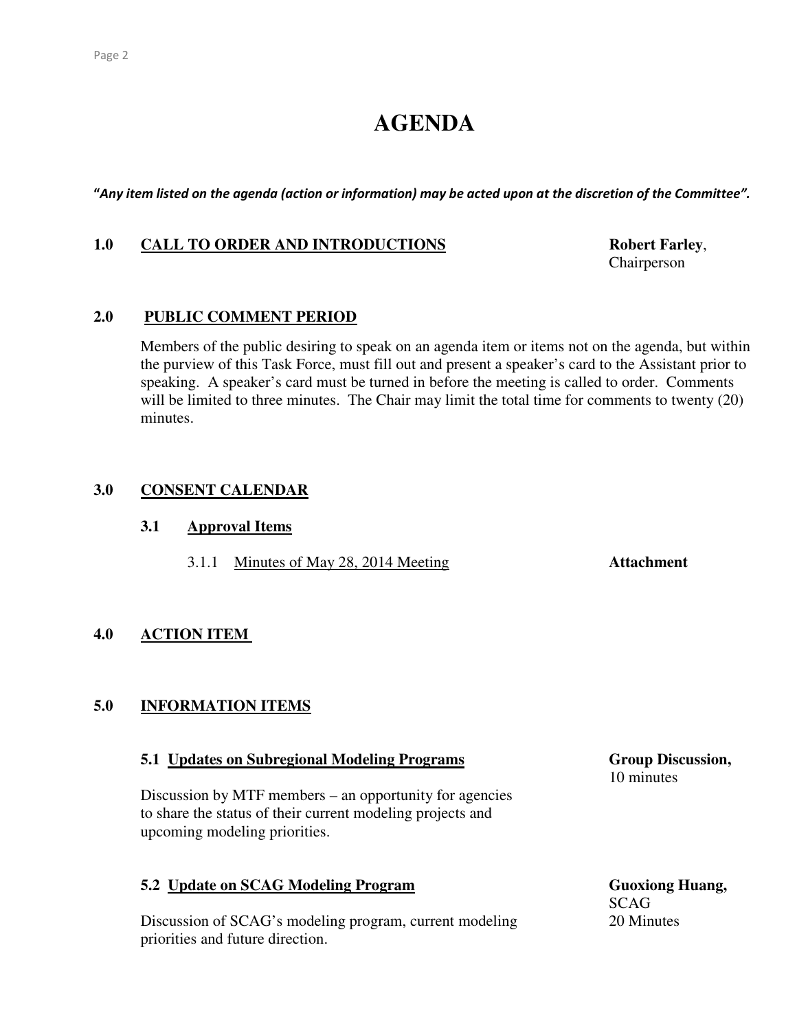## **AGENDA**

"Any item listed on the agenda (action or information) may be acted upon at the discretion of the Committee".

#### 1.0 CALL TO ORDER AND INTRODUCTIONS Robert Farley,

Chairperson

### **2.0 PUBLIC COMMENT PERIOD**

 Members of the public desiring to speak on an agenda item or items not on the agenda, but within the purview of this Task Force, must fill out and present a speaker's card to the Assistant prior to speaking. A speaker's card must be turned in before the meeting is called to order. Comments will be limited to three minutes. The Chair may limit the total time for comments to twenty (20) minutes.

#### **3.0 CONSENT CALENDAR**

#### **3.1 Approval Items**

3.1.1 Minutes of May 28, 2014 Meeting **Attachment** 

#### **4.0 ACTION ITEM**

#### **5.0 INFORMATION ITEMS**

#### **5.1 Updates on Subregional Modeling Programs Group Discussion, Group Discussion,**

Discussion by MTF members – an opportunity for agencies to share the status of their current modeling projects and upcoming modeling priorities.

## **5.2 Update on SCAG Modeling Program** Guoxiong Huang, Guoxiong Huang, Guoxiong Huang, Guoxiong Huang, Guoxiong Huang, Guoxiong Huang, Guoxiong Huang, Guoxiong Huang, Guoxiong Huang, Guoxiong Huang, Guoxiong Huang, Guoxio

Discussion of SCAG's modeling program, current modeling 20 Minutes priorities and future direction.

10 minutes

SCAG